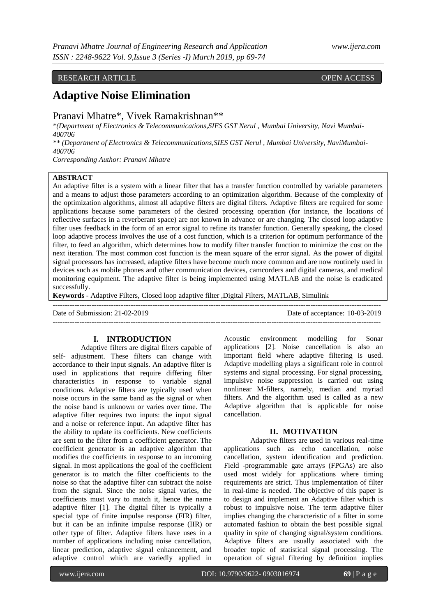## RESEARCH ARTICLE OPEN ACCESS

# **Adaptive Noise Elimination**

## Pranavi Mhatre\*, Vivek Ramakrishnan\*\*

*\*(Department of Electronics & Telecommunications,SIES GST Nerul , Mumbai University, Navi Mumbai-400706* 

*\*\* (Department of Electronics & Telecommunications,SIES GST Nerul , Mumbai University, NaviMumbai-400706* 

*Corresponding Author: Pranavi Mhatre*

## **ABSTRACT**

An adaptive filter is a system with a linear filter that has a transfer function controlled by variable parameters and a means to adjust those parameters according to an optimization algorithm. Because of the complexity of the optimization algorithms, almost all adaptive filters are digital filters. Adaptive filters are required for some applications because some parameters of the desired processing operation (for instance, the locations of reflective surfaces in a reverberant space) are not known in advance or are changing. The closed loop adaptive filter uses feedback in the form of an error signal to refine its transfer function. Generally speaking, the closed loop adaptive process involves the use of a cost function, which is a criterion for optimum performance of the filter, to feed an algorithm, which determines how to modify filter transfer function to minimize the cost on the next iteration. The most common cost function is the mean square of the error signal. As the power of digital signal processors has increased, adaptive filters have become much more common and are now routinely used in devices such as mobile phones and other communication devices, camcorders and digital cameras, and medical monitoring equipment. The adaptive filter is being implemented using MATLAB and the noise is eradicated successfully.

---------------------------------------------------------------------------------------------------------------------------------------

**Keywords -** Adaptive Filters, Closed loop adaptive filter ,Digital Filters, MATLAB, Simulink

Date of Submission: 21-02-2019 Date of acceptance: 10-03-2019

---------------------------------------------------------------------------------------------------------------------------------------

#### **I. INTRODUCTION**

 Adaptive filters are digital filters capable of self- adjustment. These filters can change with accordance to their input signals. An adaptive filter is used in applications that require differing filter characteristics in response to variable signal conditions. Adaptive filters are typically used when noise occurs in the same band as the signal or when the noise band is unknown or varies over time. The adaptive filter requires two inputs: the input signal and a noise or reference input. An adaptive filter has the ability to update its coefficients. New coefficients are sent to the filter from a coefficient generator. The coefficient generator is an adaptive algorithm that modifies the coefficients in response to an incoming signal. In most applications the goal of the coefficient generator is to match the filter coefficients to the noise so that the adaptive filter can subtract the noise from the signal. Since the noise signal varies, the coefficients must vary to match it, hence the name adaptive filter [1]. The digital filter is typically a special type of finite impulse response (FIR) filter, but it can be an infinite impulse response (IIR) or other type of filter. Adaptive filters have uses in a number of applications including noise cancellation, linear prediction, adaptive signal enhancement, and adaptive control which are variedly applied in

Acoustic environment modelling for Sonar applications [2]. Noise cancellation is also an important field where adaptive filtering is used. Adaptive modelling plays a significant role in control systems and signal processing. For signal processing, impulsive noise suppression is carried out using nonlinear M-filters, namely, median and myriad filters. And the algorithm used is called as a new Adaptive algorithm that is applicable for noise cancellation.

#### **II. MOTIVATION**

Adaptive filters are used in various real-time applications such as echo cancellation, noise cancellation, system identification and prediction. Field -programmable gate arrays (FPGAs) are also used most widely for applications where timing requirements are strict. Thus implementation of filter in real-time is needed. The objective of this paper is to design and implement an Adaptive filter which is robust to impulsive noise. The term adaptive filter implies changing the characteristic of a filter in some automated fashion to obtain the best possible signal quality in spite of changing signal/system conditions. Adaptive filters are usually associated with the broader topic of statistical signal processing. The operation of signal filtering by definition implies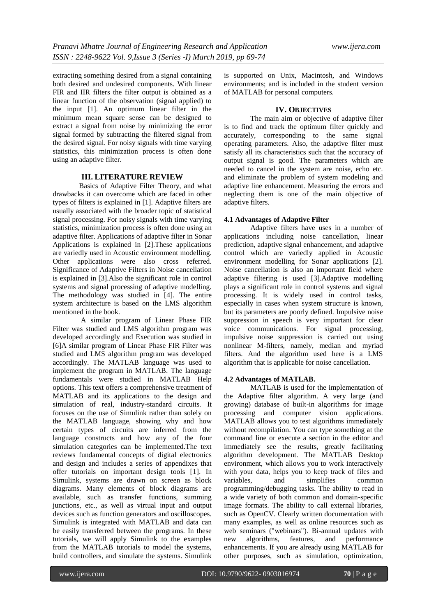extracting something desired from a signal containing both desired and undesired components. With linear FIR and IIR filters the filter output is obtained as a linear function of the observation (signal applied) to the input [1]. An optimum linear filter in the minimum mean square sense can be designed to extract a signal from noise by minimizing the error signal formed by subtracting the filtered signal from the desired signal. For noisy signals with time varying statistics, this minimization process is often done using an adaptive filter.

#### **III. LITERATURE REVIEW**

Basics of Adaptive Filter Theory, and what drawbacks it can overcome which are faced in other types of filters is explained in [1]. Adaptive filters are usually associated with the broader topic of statistical signal processing. For noisy signals with time varying statistics, minimization process is often done using an adaptive filter. Applications of adaptive filter in Sonar Applications is explained in [2].These applications are variedly used in Acoustic environment modelling. Other applications were also cross referred. Significance of Adaptive Filters in Noise cancellation is explained in [3].Also the significant role in control systems and signal processing of adaptive modelling. The methodology was studied in [4]. The entire system architecture is based on the LMS algorithm mentioned in the book.

A similar program of Linear Phase FIR Filter was studied and LMS algorithm program was developed accordingly and Execution was studied in [6]A similar program of Linear Phase FIR Filter was studied and LMS algorithm program was developed accordingly. The MATLAB language was used to implement the program in MATLAB. The language fundamentals were studied in MATLAB Help options. This text offers a comprehensive treatment of MATLAB and its applications to the design and simulation of real, industry-standard circuits. It focuses on the use of Simulink rather than solely on the MATLAB language, showing why and how certain types of circuits are inferred from the language constructs and how any of the four simulation categories can be implemented.The text reviews fundamental concepts of digital electronics and design and includes a series of appendixes that offer tutorials on important design tools [1]. In Simulink, systems are drawn on screen as block diagrams. Many elements of block diagrams are available, such as transfer functions, summing junctions, etc., as well as virtual input and output devices such as function generators and oscilloscopes. Simulink is integrated with MATLAB and data can be easily transferred between the programs. In these tutorials, we will apply Simulink to the examples from the MATLAB tutorials to model the systems, build controllers, and simulate the systems. Simulink

is supported on Unix, Macintosh, and Windows environments; and is included in the student version of MATLAB for personal computers.

#### **IV. OBJECTIVES**

The main aim or objective of adaptive filter is to find and track the optimum filter quickly and accurately, corresponding to the same signal operating parameters. Also, the adaptive filter must satisfy all its characteristics such that the accuracy of output signal is good. The parameters which are needed to cancel in the system are noise, echo etc. and eliminate the problem of system modeling and adaptive line enhancement. Measuring the errors and neglecting them is one of the main objective of adaptive filters.

#### **4.1 Advantages of Adaptive Filter**

Adaptive filters have uses in a number of applications including noise cancellation, linear prediction, adaptive signal enhancement, and adaptive control which are variedly applied in Acoustic environment modelling for Sonar applications [2]. Noise cancellation is also an important field where adaptive filtering is used [3].Adaptive modelling plays a significant role in control systems and signal processing. It is widely used in control tasks, especially in cases when system structure is known, but its parameters are poorly defined. Impulsive noise suppression in speech is very important for clear voice communications. For signal processing, impulsive noise suppression is carried out using nonlinear M-filters, namely, median and myriad filters. And the algorithm used here is a LMS algorithm that is applicable for noise cancellation.

## **4.2 Advantages of MATLAB.**

MATLAB is used for the implementation of the Adaptive filter algorithm. A very large (and growing) database of built-in algorithms for image processing and computer vision applications. MATLAB allows you to test algorithms immediately without recompilation. You can type something at the command line or execute a section in the editor and immediately see the results, greatly facilitating algorithm development. The MATLAB Desktop environment, which allows you to work interactively with your data, helps you to keep track of files and variables, and simplifies common programming/debugging tasks. The ability to read in a wide variety of both common and domain-specific image formats. The ability to call external libraries, such as OpenCV. Clearly written documentation with many examples, as well as online resources such as web seminars ("webinars"). Bi-annual updates with<br>new algorithms, features, and performance new algorithms, features, and performance enhancements. If you are already using MATLAB for other purposes, such as simulation, optimization,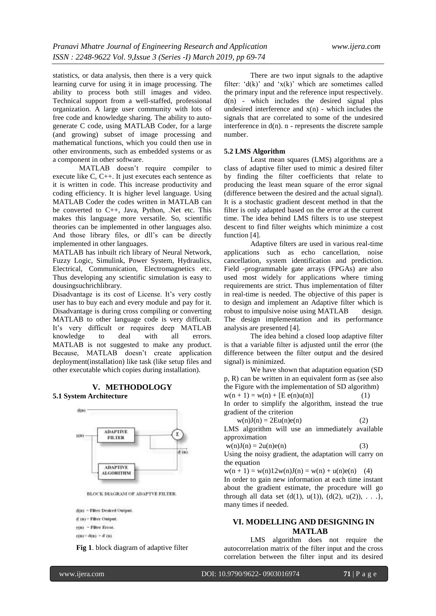statistics, or data analysis, then there is a very quick learning curve for using it in image processing. The ability to process both still images and video. Technical support from a well-staffed, professional organization. A large user community with lots of free code and knowledge sharing. The ability to autogenerate C code, using MATLAB Coder, for a large (and growing) subset of image processing and mathematical functions, which you could then use in other environments, such as embedded systems or as a component in other software.

MATLAB doesn't require compiler to execute like C, C++. It just executes each sentence as it is written in code. This increase productivity and coding efficiency. It is higher level language. Using MATLAB Coder the codes written in MATLAB can be converted to C++, Java, Python, .Net etc. This makes this language more versatile. So, scientific theories can be implemented in other languages also. And those library files, or dll's can be directly implemented in other languages.

MATLAB has inbuilt rich library of Neural Network, Fuzzy Logic, Simulink, Power System, Hydraulics, Electrical, Communication, Electromagnetics etc. Thus developing any scientific simulation is easy to dousingsuchrichlibrary.

Disadvantage is its cost of License. It's very costly user has to buy each and every module and pay for it. Disadvantage is during cross compiling or converting MATLAB to other language code is very difficult. It's very difficult or requires deep MATLAB knowledge to deal with all errors. MATLAB is not suggested to make any product. Because, MATLAB doesn't create application deployment(installation) like task (like setup files and other executable which copies during installation).

#### **V. METHODOLOGY 5.1 System Architecture**



BLOCK DIAGRAM OF ADAPTVE FILTER.

d(u) - Filter Desired Output. d (n) - Filter Output. c(u) - Filter Error.

$$
\overline{u}u = q(u) + q(u)
$$

**Fig 1**. block diagram of adaptive filter

There are two input signals to the adaptive filter:  $d(k)$  and  $x(k)$  which are sometimes called the primary input and the reference input respectively.  $d(n)$  - which includes the desired signal plus undesired interference and  $x(n)$  - which includes the signals that are correlated to some of the undesired interference in  $d(n)$ . n - represents the discrete sample number.

#### **5.2 LMS Algorithm**

Least mean squares (LMS) algorithms are a class of adaptive filter used to mimic a desired filter by finding the filter coefficients that relate to producing the least mean square of the error signal (difference between the desired and the actual signal). It is a stochastic gradient descent method in that the filter is only adapted based on the error at the current time. The idea behind LMS filters is to use steepest descent to find filter weights which minimize a cost function [4].

Adaptive filters are used in various real-time applications such as echo cancellation, noise cancellation, system identification and prediction. Field -programmable gate arrays (FPGAs) are also used most widely for applications where timing requirements are strict. Thus implementation of filter in real-time is needed. The objective of this paper is to design and implement an Adaptive filter which is robust to impulsive noise using MATLAB design. The design implementation and its performance analysis are presented [4].

The idea behind a closed loop adaptive filter is that a variable filter is adjusted until the error (the difference between the filter output and the desired signal) is minimized.

We have shown that adaptation equation (SD p, R) can be written in an equivalent form as (see also the Figure with the implementation of SD algorithm)  $w(n + 1) = w(n) + [E e(n)u(n)]$  (1)

In order to simplify the algorithm, instead the true gradient of the criterion

$$
w(n)J(n) = 2Eu(n)e(n)
$$
 (2)  
LMS, the right-hand (l) is a right (l)

LMS algorithm will use an immediately available approximation

$$
w(n)J(n) = 2u(n)e(n)
$$
 (3)

Using the noisy gradient, the adaptation will carry on the equation

 $w(n + 1) = w(n)12w(n)J(n) = w(n) + u(n)e(n)$  (4)

In order to gain new information at each time instant about the gradient estimate, the procedure will go through all data set  $(d(1), u(1)), (d(2), u(2)), \ldots$ }, many times if needed.

## **VI. MODELLING AND DESIGNING IN MATLAB**

LMS algorithm does not require the autocorrelation matrix of the filter input and the cross correlation between the filter input and its desired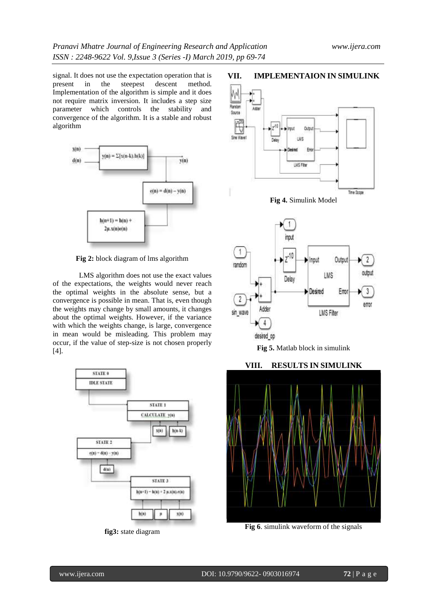signal. It does not use the expectation operation that is present in the steepest descent method. Implementation of the algorithm is simple and it does not require matrix inversion. It includes a step size parameter which controls the stability and convergence of the algorithm. It is a stable and robust algorithm



**Fig 2:** block diagram of lms algorithm

LMS algorithm does not use the exact values of the expectations, the weights would never reach the optimal weights in the absolute sense, but a convergence is possible in mean. That is, even though the weights may change by small amounts, it changes about the optimal weights. However, if the variance with which the weights change, is large, convergence in mean would be misleading. This problem may occur, if the value of step-size is not chosen properly [4].



**fig3:** state diagram

## **VII. IMPLEMENTAION IN SIMULINK**





**Fig 5.** Matlab block in simulink

## **VIII. RESULTS IN SIMULINK**



**Fig 6**. simulink waveform of the signals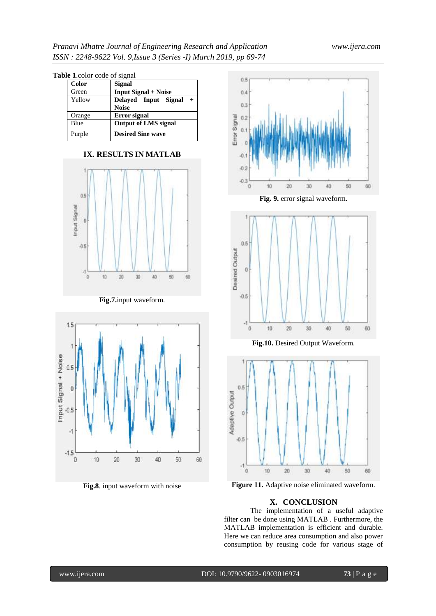| <b>Table 1.color code of signal</b> |              |                             |
|-------------------------------------|--------------|-----------------------------|
|                                     | <b>Color</b> | Signal                      |
|                                     | Green        | <b>Input Signal + Noise</b> |
|                                     | Yellow       | Delayed Input Signal<br>$+$ |
|                                     |              | <b>Noise</b>                |
|                                     | Orange       | <b>Error</b> signal         |
|                                     | Blue         | <b>Output of LMS signal</b> |
|                                     | Purple       | <b>Desired Sine wave</b>    |





## **Fig.7.**input waveform.



**Fig.8**. input waveform with noise



**Fig. 9.** error signal waveform.



**Fig.10.** Desired Output Waveform.



**Figure 11.** Adaptive noise eliminated waveform.

## **X. CONCLUSION**

The implementation of a useful adaptive filter can be done using MATLAB . Furthermore, the MATLAB implementation is efficient and durable. Here we can reduce area consumption and also power consumption by reusing code for various stage of